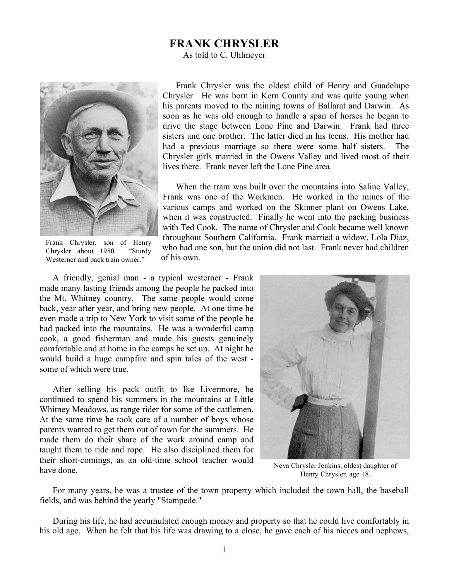## **FRANK CHRYSLER**

As told to C. Uhlmeyer



Frank Chrysler, son of Henry Chrysler about 1950. "Sturdy Westerner and pack train owner."

Frank Chrysler was the oldest child of Henry and Guadelupe Chrysler. He was born in Kern County and was quite young when his parents moved to the mining towns of Ballarat and Darwin. As soon as he was old enough to handle a span of horses he began to drive the stage between Lone Pine and Darwin. Frank had three sisters and one brother. The latter died in his teens. His mother had had a previous marriage so there were some half sisters. The Chrysler girls married in the Owens Valley and lived most of their lives there. Frank never left the Lone Pine area.

When the tram was built over the mountains into Saline Valley, Frank was one of the Workmen. He worked in the mines of the various camps and worked on the Skinner plant on Owens Lake, when it was constructed. Finally he went into the packing business with Ted Cook. The name of Chrysler and Cook became well known throughout Southern California. Frank married a widow, Lola Diaz, who had one son, but the union did not last. Frank never had children of his own.

A friendly, genial man - a typical westerner - Frank made many lasting friends among the people he packed into the Mt. Whitney country. The same people would come back, year after year, and bring new people. At one time he even made a trip to New York to visit some of the people he had packed into the mountains. He was a wonderful camp cook, a good fisherman and made his guests genuinely comfortable and at home in the camps he set up. At night he would build a huge campfire and spin tales of the west some of which were true.

After selling his pack outfit to Ike Livermore, he continued to spend his summers in the mountains at Little Whitney Meadows, as range rider for some of the cattlemen. At the same time he took care of a number of boys whose parents wanted to get them out of town for the summers. He made them do their share of the work around camp and taught them to ride and rope. He also disciplined them for their short-comings, as an old-time school teacher would have done.



Neva Chrysler Jenkins, oldest daughter of Henry Chrysler, age 18.

For many years, he was a trustee of the town property which included the town hall, the baseball fields, and was behind the yearly "Stampede."

During his life, he had accumulated enough money and property so that he could live comfortably in his old age. When he felt that his life was drawing to a close, he gave each of his nieces and nephews,